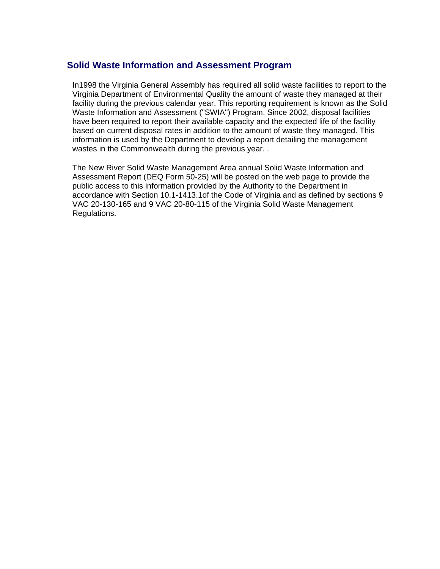## **Solid Waste Information and Assessment Program**

In1998 the Virginia General Assembly has required all solid waste facilities to report to the Virginia Department of Environmental Quality the amount of waste they managed at their facility during the previous calendar year. This reporting requirement is known as the Solid Waste Information and Assessment ("SWIA") Program. Since 2002, disposal facilities have been required to report their available capacity and the expected life of the facility based on current disposal rates in addition to the amount of waste they managed. This information is used by the Department to develop a report detailing the management wastes in the Commonwealth during the previous year. .

The New River Solid Waste Management Area annual Solid Waste Information and Assessment Report (DEQ Form 50-25) will be posted on the web page to provide the public access to this information provided by the Authority to the Department in accordance with Section 10.1-1413.1of the Code of Virginia and as defined by sections 9 VAC 20-130-165 and 9 VAC 20-80-115 of the Virginia Solid Waste Management Regulations.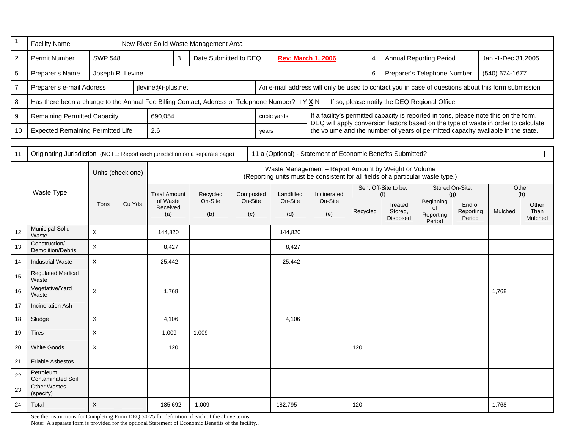| $\overline{1}$ | <b>Facility Name</b>                                                                                                                                 |                    | New River Solid Waste Management Area |                      |                                                                                                                                         |                                                                                                    |     |                      |                           |                                                                                                                                                                        |          |   |                                |                        |                     |                    |               |
|----------------|------------------------------------------------------------------------------------------------------------------------------------------------------|--------------------|---------------------------------------|----------------------|-----------------------------------------------------------------------------------------------------------------------------------------|----------------------------------------------------------------------------------------------------|-----|----------------------|---------------------------|------------------------------------------------------------------------------------------------------------------------------------------------------------------------|----------|---|--------------------------------|------------------------|---------------------|--------------------|---------------|
| $\overline{2}$ | <b>SWP 548</b><br>Permit Number                                                                                                                      |                    |                                       |                      | $\mathbf{3}$<br>Date Submitted to DEQ                                                                                                   |                                                                                                    |     |                      | <b>Rev: March 1, 2006</b> |                                                                                                                                                                        |          | 4 | <b>Annual Reporting Period</b> |                        |                     | Jan.-1-Dec.31,2005 |               |
| $\overline{5}$ | Preparer's Name                                                                                                                                      |                    |                                       |                      |                                                                                                                                         |                                                                                                    |     |                      | 6                         | Preparer's Telephone Number<br>(540) 674-1677                                                                                                                          |          |   |                                |                        |                     |                    |               |
| $\overline{7}$ | Preparer's e-mail Address                                                                                                                            | jlevine@i-plus.net |                                       |                      |                                                                                                                                         | An e-mail address will only be used to contact you in case of questions about this form submission |     |                      |                           |                                                                                                                                                                        |          |   |                                |                        |                     |                    |               |
| 8              | Has there been a change to the Annual Fee Billing Contact, Address or Telephone Number? $\Box$ Y X N<br>If so, please notify the DEQ Regional Office |                    |                                       |                      |                                                                                                                                         |                                                                                                    |     |                      |                           |                                                                                                                                                                        |          |   |                                |                        |                     |                    |               |
| 9              | <b>Remaining Permitted Capacity</b>                                                                                                                  | 690,054            |                                       |                      |                                                                                                                                         | cubic yards                                                                                        |     |                      |                           | If a facility's permitted capacity is reported in tons, please note this on the form.                                                                                  |          |   |                                |                        |                     |                    |               |
| 10             | <b>Expected Remaining Permitted Life</b>                                                                                                             |                    |                                       | 2.6                  |                                                                                                                                         |                                                                                                    |     | years                |                           | DEQ will apply conversion factors based on the type of waste in order to calculate<br>the volume and the number of years of permitted capacity available in the state. |          |   |                                |                        |                     |                    |               |
|                |                                                                                                                                                      |                    |                                       |                      |                                                                                                                                         |                                                                                                    |     |                      |                           |                                                                                                                                                                        |          |   |                                |                        |                     |                    |               |
| 11             | 11 a (Optional) - Statement of Economic Benefits Submitted?<br>Originating Jurisdiction (NOTE: Report each jurisdiction on a separate page)          |                    |                                       |                      |                                                                                                                                         |                                                                                                    |     |                      |                           | $\Box$                                                                                                                                                                 |          |   |                                |                        |                     |                    |               |
|                |                                                                                                                                                      |                    | Units (check one)                     |                      | Waste Management - Report Amount by Weight or Volume<br>(Reporting units must be consistent for all fields of a particular waste type.) |                                                                                                    |     |                      |                           |                                                                                                                                                                        |          |   |                                |                        |                     |                    |               |
|                | Waste Type                                                                                                                                           | Tons               | Cu Yds                                | <b>Total Amount</b>  |                                                                                                                                         | Recycled<br>On-Site                                                                                |     | Composted<br>On-Site | Landfilled                | Incinerated                                                                                                                                                            |          |   | Sent Off-Site to be:<br>(f)    | Stored On-Site:<br>(a) |                     | Other<br>(h)       |               |
|                |                                                                                                                                                      |                    |                                       | of Waste<br>Received |                                                                                                                                         |                                                                                                    |     |                      | On-Site                   | On-Site                                                                                                                                                                |          |   | Treated,<br>Stored,            | Beginning<br>of        | End of<br>Reporting | Mulched            | Other<br>Than |
|                |                                                                                                                                                      |                    |                                       | (a)                  |                                                                                                                                         | (b)                                                                                                | (c) |                      | (d)                       | (e)                                                                                                                                                                    | Recycled |   | Disposed                       | Reporting<br>Period    | Period              |                    | Mulched       |
| 12             | <b>Municipal Solid</b><br>Waste                                                                                                                      | $\times$           |                                       | 144,820              |                                                                                                                                         |                                                                                                    |     |                      | 144,820                   |                                                                                                                                                                        |          |   |                                |                        |                     |                    |               |
| 13             | Construction/<br>Demolition/Debris                                                                                                                   | $\mathsf{X}$       |                                       | 8,427                |                                                                                                                                         |                                                                                                    |     |                      | 8,427                     |                                                                                                                                                                        |          |   |                                |                        |                     |                    |               |
| 14             | <b>Industrial Waste</b>                                                                                                                              | $\mathsf X$        |                                       | 25,442               |                                                                                                                                         |                                                                                                    |     |                      | 25,442                    |                                                                                                                                                                        |          |   |                                |                        |                     |                    |               |
| 15             | <b>Regulated Medical</b><br>Waste                                                                                                                    |                    |                                       |                      |                                                                                                                                         |                                                                                                    |     |                      |                           |                                                                                                                                                                        |          |   |                                |                        |                     |                    |               |
| 16             | Vegetative/Yard<br>Waste                                                                                                                             | $\pmb{\times}$     |                                       | 1,768                |                                                                                                                                         |                                                                                                    |     |                      |                           |                                                                                                                                                                        |          |   |                                |                        |                     | 1,768              |               |
| 17             | <b>Incineration Ash</b>                                                                                                                              |                    |                                       |                      |                                                                                                                                         |                                                                                                    |     |                      |                           |                                                                                                                                                                        |          |   |                                |                        |                     |                    |               |
| 18             | Sludge                                                                                                                                               | $\mathsf X$        |                                       | 4,106                |                                                                                                                                         |                                                                                                    |     |                      | 4,106                     |                                                                                                                                                                        |          |   |                                |                        |                     |                    |               |
| 19             | Tires                                                                                                                                                | $\mathsf X$        |                                       | 1,009                |                                                                                                                                         | 1,009                                                                                              |     |                      |                           |                                                                                                                                                                        |          |   |                                |                        |                     |                    |               |
| 20             | <b>White Goods</b>                                                                                                                                   | $\pmb{\times}$     |                                       | 120                  |                                                                                                                                         |                                                                                                    |     |                      |                           |                                                                                                                                                                        | 120      |   |                                |                        |                     |                    |               |
| 21             | <b>Friable Asbestos</b>                                                                                                                              |                    |                                       |                      |                                                                                                                                         |                                                                                                    |     |                      |                           |                                                                                                                                                                        |          |   |                                |                        |                     |                    |               |
| 22             | Petroleum<br><b>Contaminated Soil</b>                                                                                                                |                    |                                       |                      |                                                                                                                                         |                                                                                                    |     |                      |                           |                                                                                                                                                                        |          |   |                                |                        |                     |                    |               |
| 23             | <b>Other Wastes</b><br>(specify)                                                                                                                     |                    |                                       |                      |                                                                                                                                         |                                                                                                    |     |                      |                           |                                                                                                                                                                        |          |   |                                |                        |                     |                    |               |
| 24             | Total                                                                                                                                                | X                  |                                       | 185,692              |                                                                                                                                         | 1,009                                                                                              |     |                      | 182.795                   |                                                                                                                                                                        | 120      |   |                                |                        |                     | 1,768              |               |

See the Instructions for Completing Form DEQ 50-25 for definition of each of the above terms.

Note: A separate form is provided for the optional Statement of Economic Benefits of the facility..